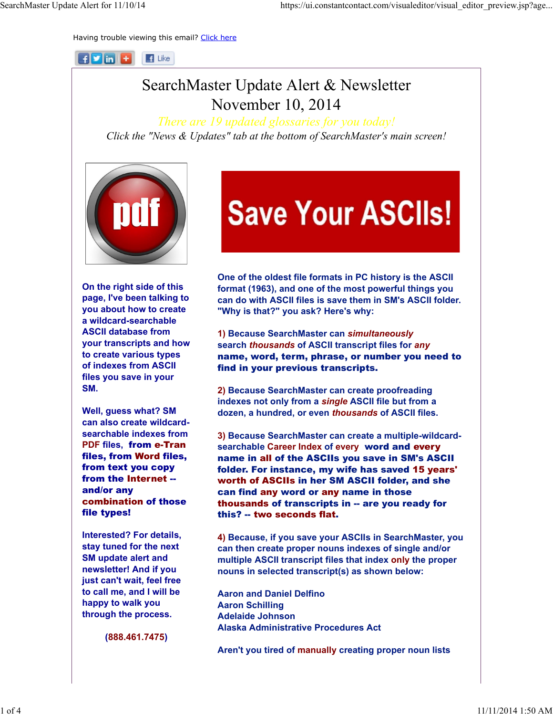Having trouble viewing this email? Click here

 $\mathbf{H}$   $\mathbf{V}$  in  $\mathbf{H}$  $\mathbf{F}$  Like

## SearchMaster Update Alert & Newsletter November 10, 2014

*There are 19 updated glossaries for you today! Click the "News & Updates" tab at the bottom of SearchMaster's main screen!*



On the right side of this page, I've been talking to you about how to create a wildcard-searchable ASCII database from your transcripts and how to create various types of indexes from ASCII files you save in your SM.

Well, guess what? SM can also create wildcardsearchable indexes from PDF files, from e-Tran files, from Word files, from text you copy from the Internet - and/or any combination of those file types!

Interested? For details, stay tuned for the next SM update alert and newsletter! And if you just can't wait, feel free to call me, and I will be happy to walk you through the process.

(888.461.7475)

# **Save Your ASCIIs!**

One of the oldest file formats in PC history is the ASCII format (1963), and one of the most powerful things you can do with ASCII files is save them in SM's ASCII folder. "Why is that?" you ask? Here's why:

1) Because SearchMaster can *simultaneously*  search *thousands* of ASCII transcript files for *any*  name, word, term, phrase, or number you need to find in your previous transcripts.

2) Because SearchMaster can create proofreading indexes not only from a *single* ASCII file but from a dozen, a hundred, or even *thousands* of ASCII files.

3) Because SearchMaster can create a multiple-wildcardsearchable Career Index of every word and every name in all of the ASCIIs you save in SM's ASCII folder. For instance, my wife has saved 15 years' worth of ASCIIs in her SM ASCII folder, and she can find any word or any name in those thousands of transcripts in -- are you ready for this? -- two seconds flat.

4) Because, if you save your ASCIIs in SearchMaster, you can then create proper nouns indexes of single and/or multiple ASCII transcript files that index only the proper nouns in selected transcript(s) as shown below:

Aaron and Daniel Delfino Aaron Schilling Adelaide Johnson Alaska Administrative Procedures Act

Aren't you tired of manually creating proper noun lists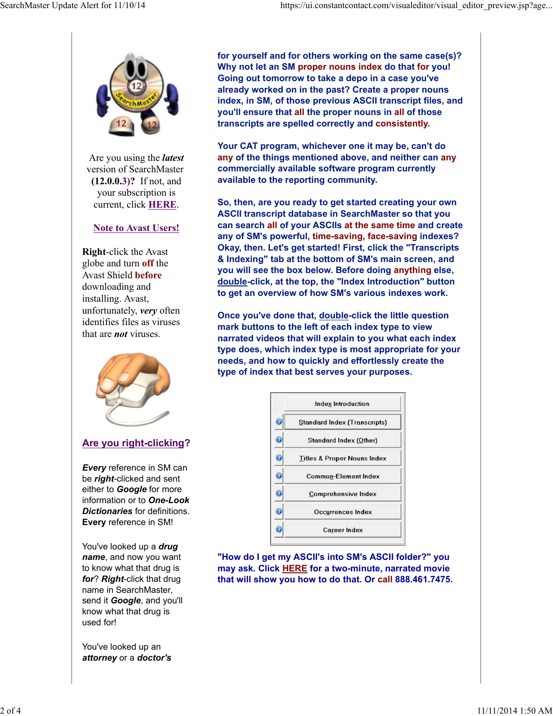

Are you using the *latest* version of SearchMaster (12.0.0.3)? If not, and your subscription is current, click HERE.

#### Note to Avast Users!

Right-click the Avast globe and turn off the Avast Shield before downloading and installing. Avast, unfortunately, *very* often identifies files as viruses that are *not* viruses.



#### Are you right-clicking?

*Every* reference in SM can be *right*-clicked and sent either to *Google* for more information or to *One-Look Dictionaries* for definitions. Every reference in SM!

You've looked up a *drug name*, and now you want to know what that drug is *for*? *Right*-click that drug name in SearchMaster, send it *Google*, and you'll know what that drug is used for!

You've looked up an *attorney* or a *doctor's* for yourself and for others working on the same case(s)? Why not let an SM proper nouns index do that for you! Going out tomorrow to take a depo in a case you've already worked on in the past? Create a proper nouns index, in SM, of those previous ASCII transcript files, and you'll ensure that all the proper nouns in all of those transcripts are spelled correctly and consistently.

Your CAT program, whichever one it may be, can't do any of the things mentioned above, and neither can any commercially available software program currently available to the reporting community.

So, then, are you ready to get started creating your own ASCII transcript database in SearchMaster so that you can search all of your ASCIIs at the same time and create any of SM's powerful, time-saving, face-saving indexes? Okay, then. Let's get started! First, click the "Transcripts & Indexing" tab at the bottom of SM's main screen, and you will see the box below. Before doing anything else, double-click, at the top, the "Index Introduction" button to get an overview of how SM's various indexes work.

Once you've done that, double-click the little question mark buttons to the left of each index type to view narrated videos that will explain to you what each index type does, which index type is most appropriate for your needs, and how to quickly and effortlessly create the type of index that best serves your purposes.

|   | <b>Index Introduction</b>              |
|---|----------------------------------------|
| 7 | Standard Index (Transcripts)           |
|   | Standard Index (Other)                 |
|   | <b>Titles &amp; Proper Nouns Index</b> |
|   | <b>Common-Element Index</b>            |
|   | <b>Comprehensive Index</b>             |
|   | Occurrences Index                      |
|   | <b>Career Index</b>                    |

"How do I get my ASCII's into SM's ASCII folder?" you may ask. Click HERE for a two-minute, narrated movie that will show you how to do that. Or call 888.461.7475.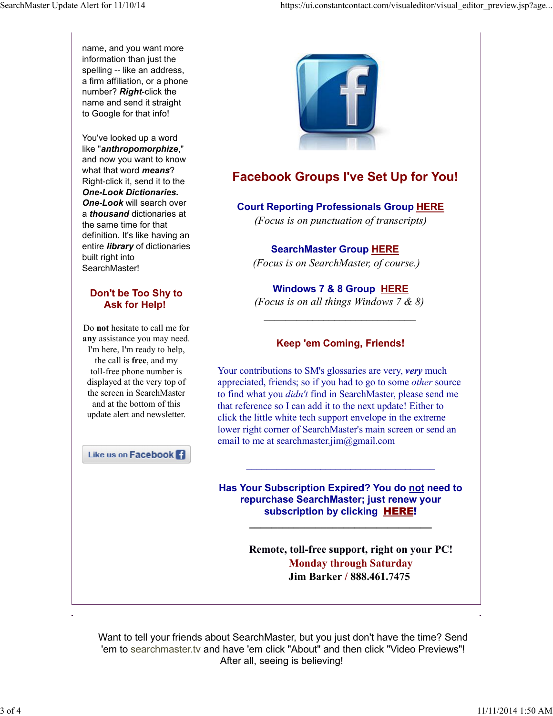name, and you want more information than just the spelling -- like an address, a firm affiliation, or a phone number? *Right*-click the name and send it straight to Google for that info!

You've looked up a word like "*anthropomorphize*," and now you want to know what that word *means*? Right-click it, send it to the *One-Look Dictionaries. One-Look* will search over a *thousand* dictionaries at the same time for that definition. It's like having an entire *library* of dictionaries built right into SearchMaster!

#### Don't be Too Shy to Ask for Help!

Do not hesitate to call me for any assistance you may need. I'm here, I'm ready to help, the call is free, and my toll-free phone number is displayed at the very top of the screen in SearchMaster and at the bottom of this update alert and newsletter.

Like us on Facebook<sup>1</sup>



### Facebook Groups I've Set Up for You!

#### Court Reporting Professionals Group HERE

*(Focus is on punctuation of transcripts)*

SearchMaster Group HERE *(Focus is on SearchMaster, of course.)*

Windows 7 & 8 Group HERE *(Focus is on all things Windows 7 & 8)* 

*\_\_\_\_\_\_\_\_\_\_\_\_\_\_\_\_\_\_\_\_\_\_\_\_\_\_\_\_*

#### Keep 'em Coming, Friends!

Your contributions to SM's glossaries are very, *very* much appreciated, friends; so if you had to go to some *other* source to find what you *didn't* find in SearchMaster, please send me that reference so I can add it to the next update! Either to click the little white tech support envelope in the extreme lower right corner of SearchMaster's main screen or send an email to me at searchmaster.jim@gmail.com

Has Your Subscription Expired? You do not need to repurchase SearchMaster; just renew your subscription by clicking **HERE!** 

\_\_\_\_\_\_\_\_\_\_\_\_\_\_\_\_\_\_\_\_\_\_\_\_\_\_\_\_\_\_\_\_\_

\_\_\_\_\_\_\_\_\_\_\_\_\_\_\_\_\_\_\_\_\_\_\_\_\_\_\_\_\_\_\_\_\_\_\_\_\_\_

Remote, toll-free support, right on your PC! Monday through Saturday Jim Barker / 888.461.7475

Want to tell your friends about SearchMaster, but you just don't have the time? Send 'em to searchmaster.tv and have 'em click "About" and then click "Video Previews"! After all, seeing is believing!